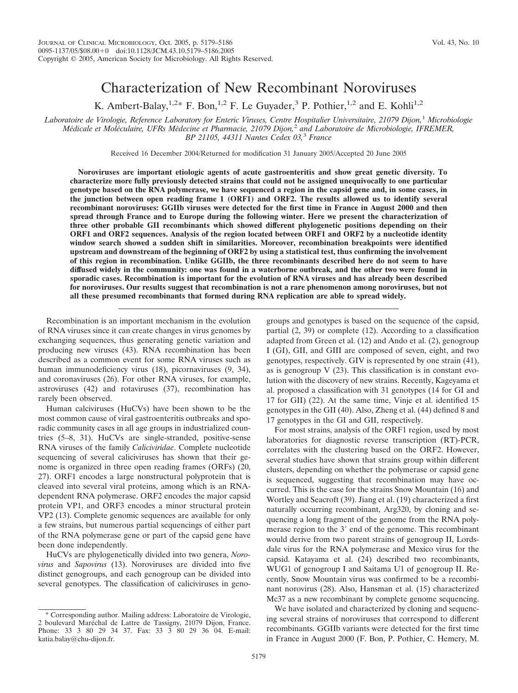# Characterization of New Recombinant Noroviruses

K. Ambert-Balay,  $^{1,2*}$  F. Bon,  $^{1,2}$  F. Le Guyader, <sup>3</sup> P. Pothier,  $^{1,2}$  and E. Kohli<sup>1,2</sup>

*Laboratoire de Virologie, Reference Laboratory for Enteric Viruses, Centre Hospitalier Universitaire, 21079 Dijon,*<sup>1</sup> *Microbiologie Me´dicale et Mole´culaire, UFRs Me´decine et Pharmacie, 21079 Dijon,*<sup>2</sup> *and Laboratoire de Microbiologie, IFREMER, BP 21105, 44311 Nantes Cedex 03,*<sup>3</sup> *France*

Received 16 December 2004/Returned for modification 31 January 2005/Accepted 20 June 2005

**Noroviruses are important etiologic agents of acute gastroenteritis and show great genetic diversity. To characterize more fully previously detected strains that could not be assigned unequivocally to one particular genotype based on the RNA polymerase, we have sequenced a region in the capsid gene and, in some cases, in the junction between open reading frame 1 (ORF1) and ORF2. The results allowed us to identify several recombinant noroviruses: GGIIb viruses were detected for the first time in France in August 2000 and then spread through France and to Europe during the following winter. Here we present the characterization of three other probable GII recombinants which showed different phylogenetic positions depending on their ORF1 and ORF2 sequences. Analysis of the region located between ORF1 and ORF2 by a nucleotide identity window search showed a sudden shift in similarities. Moreover, recombination breakpoints were identified upstream and downstream of the beginning of ORF2 by using a statistical test, thus confirming the involvement of this region in recombination. Unlike GGIIb, the three recombinants described here do not seem to have diffused widely in the community: one was found in a waterborne outbreak, and the other two were found in sporadic cases. Recombination is important for the evolution of RNA viruses and has already been described for noroviruses. Our results suggest that recombination is not a rare phenomenon among noroviruses, but not all these presumed recombinants that formed during RNA replication are able to spread widely.**

Recombination is an important mechanism in the evolution of RNA viruses since it can create changes in virus genomes by exchanging sequences, thus generating genetic variation and producing new viruses (43). RNA recombination has been described as a common event for some RNA viruses such as human immunodeficiency virus (18), picornaviruses (9, 34), and coronaviruses (26). For other RNA viruses, for example, astroviruses (42) and rotaviruses (37), recombination has rarely been observed.

Human calciviruses (HuCVs) have been shown to be the most common cause of viral gastroenteritis outbreaks and sporadic community cases in all age groups in industrialized countries (5–8, 31). HuCVs are single-stranded, positive-sense RNA viruses of the family *Caliciviridae*. Complete nucleotide sequencing of several caliciviruses has shown that their genome is organized in three open reading frames (ORFs) (20, 27). ORF1 encodes a large nonstructural polyprotein that is cleaved into several viral proteins, among which is an RNAdependent RNA polymerase. ORF2 encodes the major capsid protein VP1, and ORF3 encodes a minor structural protein VP2 (13). Complete genomic sequences are available for only a few strains, but numerous partial sequencings of either part of the RNA polymerase gene or part of the capsid gene have been done independently.

HuCVs are phylogenetically divided into two genera, *Norovirus* and *Sapovirus* (13). Noroviruses are divided into five distinct genogroups, and each genogroup can be divided into several genotypes. The classification of caliciviruses in genogroups and genotypes is based on the sequence of the capsid, partial (2, 39) or complete (12). According to a classification adapted from Green et al. (12) and Ando et al. (2), genogroup I (GI), GII, and GIII are composed of seven, eight, and two genotypes, respectively. GIV is represented by one strain (41), as is genogroup  $V(23)$ . This classification is in constant evolution with the discovery of new strains. Recently, Kageyama et al. proposed a classification with 31 genotypes (14 for GI and 17 for GII) (22). At the same time, Vinje et al. identified 15 genotypes in the GII (40). Also, Zheng et al. (44) defined 8 and 17 genotypes in the GI and GII, respectively.

For most strains, analysis of the ORF1 region, used by most laboratories for diagnostic reverse transcription (RT)-PCR, correlates with the clustering based on the ORF2. However, several studies have shown that strains group within different clusters, depending on whether the polymerase or capsid gene is sequenced, suggesting that recombination may have occurred. This is the case for the strains Snow Mountain (16) and Wortley and Seacroft (39). Jiang et al. (19) characterized a first naturally occurring recombinant, Arg320, by cloning and sequencing a long fragment of the genome from the RNA polymerase region to the 3' end of the genome. This recombinant would derive from two parent strains of genogroup II, Lordsdale virus for the RNA polymerase and Mexico virus for the capsid. Katayama et al. (24) described two recombinants, WUG1 of genogroup I and Saitama U1 of genogroup II. Recently, Snow Mountain virus was confirmed to be a recombinant norovirus (28). Also, Hansman et al. (15) characterized Mc37 as a new recombinant by complete genome sequencing.

We have isolated and characterized by cloning and sequencing several strains of noroviruses that correspond to different recombinants. GGIIb variants were detected for the first time in France in August 2000 (F. Bon, P. Pothier, C. Hemery, M.

Corresponding author. Mailing address: Laboratoire de Virologie, 2 boulevard Maréchal de Lattre de Tassigny, 21079 Dijon, France. Phone: 33 3 80 29 34 37. Fax: 33 3 80 29 36 04. E-mail: katia.balay@chu-dijon.fr.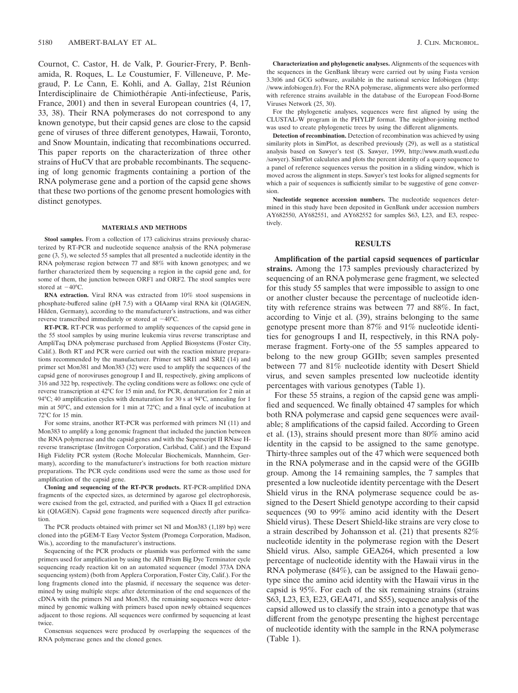Cournot, C. Castor, H. de Valk, P. Gourier-Frery, P. Benhamida, R. Roques, L. Le Coustumier, F. Villeneuve, P. Megraud, P. Le Cann, E. Kohli, and A. Gallay, 21st Réunion Interdisciplinaire de Chimiothérapie Anti-infectieuse, Paris, France, 2001) and then in several European countries (4, 17, 33, 38). Their RNA polymerases do not correspond to any known genotype, but their capsid genes are close to the capsid gene of viruses of three different genotypes, Hawaii, Toronto, and Snow Mountain, indicating that recombinations occurred. This paper reports on the characterization of three other strains of HuCV that are probable recombinants. The sequencing of long genomic fragments containing a portion of the RNA polymerase gene and a portion of the capsid gene shows that these two portions of the genome present homologies with distinct genotypes.

#### **MATERIALS AND METHODS**

**Stool samples.** From a collection of 173 calicivirus strains previously characterized by RT-PCR and nucleotide sequence analysis of the RNA polymerase gene (3, 5), we selected 55 samples that all presented a nucleotide identity in the RNA polymerase region between 77 and 88% with known genotypes; and we further characterized them by sequencing a region in the capsid gene and, for some of them, the junction between ORF1 and ORF2. The stool samples were stored at  $-40^{\circ}$ C.

**RNA extraction.** Viral RNA was extracted from 10% stool suspensions in phosphate-buffered saline (pH 7.5) with a QIAamp viral RNA kit (QIAGEN, Hilden, Germany), according to the manufacturer's instructions, and was either reverse transcribed immediately or stored at  $-40^{\circ}$ C.

**RT-PCR.** RT-PCR was performed to amplify sequences of the capsid gene in the 55 stool samples by using murine leukemia virus reverse transcriptase and AmpliTaq DNA polymerase purchased from Applied Biosystems (Foster City, Calif.). Both RT and PCR were carried out with the reaction mixture preparations recommended by the manufacturer. Primer set SRI1 and SRI2 (14) and primer set Mon381 and Mon383 (32) were used to amplify the sequences of the capsid gene of noroviruses genogroup I and II, respectively, giving amplicons of 316 and 322 bp, respectively. The cycling conditions were as follows: one cycle of reverse transcription at 42°C for 15 min and, for PCR, denaturation for 2 min at 94°C; 40 amplification cycles with denaturation for 30 s at 94°C, annealing for 1 min at 50°C, and extension for 1 min at 72°C; and a final cycle of incubation at 72°C for 15 min.

For some strains, another RT-PCR was performed with primers NI (11) and Mon383 to amplify a long genomic fragment that included the junction between the RNA polymerase and the capsid genes and with the Superscript II RNase Hreverse transcriptase (Invitrogen Corporation, Carlsbad, Calif.) and the Expand High Fidelity PCR system (Roche Molecular Biochemicals, Mannheim, Germany), according to the manufacturer's instructions for both reaction mixture preparations. The PCR cycle conditions used were the same as those used for amplification of the capsid gene.

**Cloning and sequencing of the RT-PCR products.** RT-PCR-amplified DNA fragments of the expected sizes, as determined by agarose gel electrophoresis, were excised from the gel, extracted, and purified with a Qiaex II gel extraction kit (QIAGEN). Capsid gene fragments were sequenced directly after purification.

The PCR products obtained with primer set NI and Mon383 (1,189 bp) were cloned into the pGEM-T Easy Vector System (Promega Corporation, Madison, Wis.), according to the manufacturer's instructions.

Sequencing of the PCR products or plasmids was performed with the same primers used for amplification by using the ABI Prism Big Dye Terminator cycle sequencing ready reaction kit on an automated sequencer (model 373A DNA sequencing system) (both from Applera Corporation, Foster City, Calif.). For the long fragments cloned into the plasmid, if necessary the sequence was determined by using multiple steps: after determination of the end sequences of the cDNA with the primers NI and Mon383, the remaining sequences were determined by genomic walking with primers based upon newly obtained sequences adjacent to those regions. All sequences were confirmed by sequencing at least twice.

Consensus sequences were produced by overlapping the sequences of the RNA polymerase genes and the cloned genes.

**Characterization and phylogenetic analyses.** Alignments of the sequences with the sequences in the GenBank library were carried out by using Fasta version 3.3t06 and GCG software, available in the national service Infobiogen (http: //www.infobiogen.fr). For the RNA polymerase, alignments were also performed with reference strains available in the database of the European Food-Borne Viruses Network (25, 30).

For the phylogenetic analyses, sequences were first aligned by using the CLUSTAL-W program in the PHYLIP format. The neighbor-joining method was used to create phylogenetic trees by using the different alignments.

**Detection of recombination.** Detection of recombination was achieved by using similarity plots in SimPlot, as described previously (29), as well as a statistical analysis based on Sawyer's test (S. Sawyer, 1999, http://www.math.wustl.edu /sawyer). SimPlot calculates and plots the percent identity of a query sequence to a panel of reference sequences versus the position in a sliding window, which is moved across the alignment in steps. Sawyer's test looks for aligned segments for which a pair of sequences is sufficiently similar to be suggestive of gene conversion.

**Nucleotide sequence accession numbers.** The nucleotide sequences determined in this study have been deposited in GenBank under accession numbers AY682550, AY682551, and AY682552 for samples S63, L23, and E3, respectively.

## **RESULTS**

**Amplification of the partial capsid sequences of particular strains.** Among the 173 samples previously characterized by sequencing of an RNA polymerase gene fragment, we selected for this study 55 samples that were impossible to assign to one or another cluster because the percentage of nucleotide identity with reference strains was between 77 and 88%. In fact, according to Vinje et al. (39), strains belonging to the same genotype present more than 87% and 91% nucleotide identities for genogroups I and II, respectively, in this RNA polymerase fragment. Forty-one of the 55 samples appeared to belong to the new group GGIIb; seven samples presented between 77 and 81% nucleotide identity with Desert Shield virus, and seven samples presented low nucleotide identity percentages with various genotypes (Table 1).

For these 55 strains, a region of the capsid gene was amplified and sequenced. We finally obtained 47 samples for which both RNA polymerase and capsid gene sequences were available; 8 amplifications of the capsid failed. According to Green et al. (13), strains should present more than 80% amino acid identity in the capsid to be assigned to the same genotype. Thirty-three samples out of the 47 which were sequenced both in the RNA polymerase and in the capsid were of the GGIIb group. Among the 14 remaining samples, the 7 samples that presented a low nucleotide identity percentage with the Desert Shield virus in the RNA polymerase sequence could be assigned to the Desert Shield genotype according to their capsid sequences (90 to 99% amino acid identity with the Desert Shield virus). These Desert Shield-like strains are very close to a strain described by Johansson et al. (21) that presents 82% nucleotide identity in the polymerase region with the Desert Shield virus. Also, sample GEA264, which presented a low percentage of nucleotide identity with the Hawaii virus in the RNA polymerase (84%), can be assigned to the Hawaii genotype since the amino acid identity with the Hawaii virus in the capsid is 95%. For each of the six remaining strains (strains S63, L23, E3, E23, GEA471, and S55), sequence analysis of the capsid allowed us to classify the strain into a genotype that was different from the genotype presenting the highest percentage of nucleotide identity with the sample in the RNA polymerase (Table 1).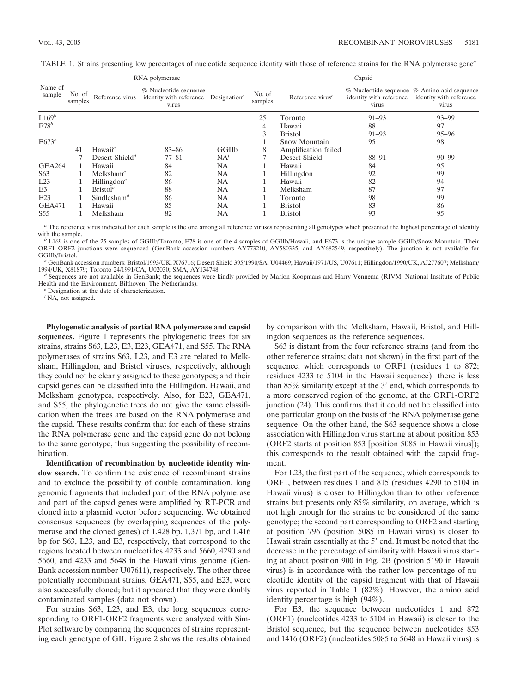| Name of<br>sample | RNA polymerase    |                                      |                                                           |                          | Capsid            |                                           |                                  |                                                                                     |
|-------------------|-------------------|--------------------------------------|-----------------------------------------------------------|--------------------------|-------------------|-------------------------------------------|----------------------------------|-------------------------------------------------------------------------------------|
|                   | No. of<br>samples | Reference virus                      | % Nucleotide sequence<br>identity with reference<br>virus | Designation <sup>e</sup> | No. of<br>samples | Reference virus <sup><math>c</math></sup> | identity with reference<br>virus | $%$ Nucleotide sequence $%$ Amino acid sequence<br>identity with reference<br>virus |
| $L169^b$          |                   |                                      |                                                           |                          | 25                | Toronto                                   | $91 - 93$                        | $93 - 99$                                                                           |
| $E78^b$           |                   |                                      |                                                           |                          | 4                 | Hawaii                                    | 88                               | 97                                                                                  |
|                   |                   |                                      |                                                           |                          | 3                 | <b>Bristol</b>                            | $91 - 93$                        | $95 - 96$                                                                           |
| $E673^b$          |                   |                                      |                                                           |                          |                   | Snow Mountain                             | 95                               | 98                                                                                  |
|                   | 41                | Hawaii $^c$                          | $83 - 86$                                                 | GGIIb                    | 8                 | Amplification failed                      |                                  |                                                                                     |
|                   |                   | Desert Shield <sup>d</sup>           | $77 - 81$                                                 | NA'                      |                   | Desert Shield                             | 88-91                            | $90 - 99$                                                                           |
| <b>GEA264</b>     |                   | Hawaii                               | 84                                                        | NA                       |                   | Hawaii                                    | 84                               | 95                                                                                  |
| S63               |                   | Melksham <sup>c</sup>                | 82                                                        | NA                       |                   | Hillingdon                                | 92                               | 99                                                                                  |
| L23               |                   | Hillingdon <sup><math>c</math></sup> | 86                                                        | <b>NA</b>                |                   | Hawaii                                    | 82                               | 94                                                                                  |
| E3                |                   | Bristol <sup>c</sup>                 | 88                                                        | NA                       |                   | Melksham                                  | 87                               | 97                                                                                  |
| E23               |                   | Sindlesham <sup>d</sup>              | 86                                                        | NA                       |                   | Toronto                                   | 98                               | 99                                                                                  |
| <b>GEA471</b>     |                   | Hawaii                               | 85                                                        | NA                       |                   | <b>Bristol</b>                            | 83                               | 86                                                                                  |
| S <sub>55</sub>   |                   | Melksham                             | 82                                                        | NA                       |                   | <b>Bristol</b>                            | 93                               | 95                                                                                  |

TABLE 1. Strains presenting low percentages of nucleotide sequence identity with those of reference strains for the RNA polymerase gene*<sup>a</sup>*

<sup>a</sup> The reference virus indicated for each sample is the one among all reference viruses representing all genotypes which presented the highest percentage of identity with the sample.

<sup>b</sup> L169 is one of the 25 samples of GGIIb/Toronto, E78 is one of the 4 samples of GGIIb/Hawaii, and E673 is the unique sample GGIIb/Snow Mountain. Their ORF1-ORF2 junctions were sequenced (GenBank accession numbers AY773210, AY580335, and AY682549, respectively). The junction is not available for

GGIIb/Bristol.<br><sup>c</sup> GenBank accession numbers: Bristol/1993/UK, X76716; Desert Shield 395/1990/SA, U04469; Hawaii/1971/US, U07611; Hillingdon/1990/UK, AJ277607; Melksham/<br>1994/UK, X81879; Toronto 24/1991/CA, U02030; SMA, AY

<sup>d</sup> Sequences are not available in GenBank; the sequences were kindly provided by Marion Koopmans and Harry Vennema (RIVM, National Institute of Public Health and the Environment, Bilthoven, The Netherlands). *<sup>e</sup>* Designation at the date of characterization.

*<sup>f</sup>* NA, not assigned.

**Phylogenetic analysis of partial RNA polymerase and capsid sequences.** Figure 1 represents the phylogenetic trees for six strains, strains S63, L23, E3, E23, GEA471, and S55. The RNA polymerases of strains S63, L23, and E3 are related to Melksham, Hillingdon, and Bristol viruses, respectively, although they could not be clearly assigned to these genotypes; and their capsid genes can be classified into the Hillingdon, Hawaii, and Melksham genotypes, respectively. Also, for E23, GEA471, and S55, the phylogenetic trees do not give the same classification when the trees are based on the RNA polymerase and the capsid. These results confirm that for each of these strains the RNA polymerase gene and the capsid gene do not belong to the same genotype, thus suggesting the possibility of recombination.

**Identification of recombination by nucleotide identity window search.** To confirm the existence of recombinant strains and to exclude the possibility of double contamination, long genomic fragments that included part of the RNA polymerase and part of the capsid genes were amplified by RT-PCR and cloned into a plasmid vector before sequencing. We obtained consensus sequences (by overlapping sequences of the polymerase and the cloned genes) of 1,428 bp, 1,371 bp, and 1,416 bp for S63, L23, and E3, respectively, that correspond to the regions located between nucleotides 4233 and 5660, 4290 and 5660, and 4233 and 5648 in the Hawaii virus genome (Gen-Bank accession number U07611), respectively. The other three potentially recombinant strains, GEA471, S55, and E23, were also successfully cloned; but it appeared that they were doubly contaminated samples (data not shown).

For strains S63, L23, and E3, the long sequences corresponding to ORF1-ORF2 fragments were analyzed with Sim-Plot software by comparing the sequences of strains representing each genotype of GII. Figure 2 shows the results obtained by comparison with the Melksham, Hawaii, Bristol, and Hillingdon sequences as the reference sequences.

S63 is distant from the four reference strains (and from the other reference strains; data not shown) in the first part of the sequence, which corresponds to ORF1 (residues 1 to 872; residues 4233 to 5104 in the Hawaii sequence): there is less than 85% similarity except at the 3' end, which corresponds to a more conserved region of the genome, at the ORF1-ORF2 junction (24). This confirms that it could not be classified into one particular group on the basis of the RNA polymerase gene sequence. On the other hand, the S63 sequence shows a close association with Hillingdon virus starting at about position 853 (ORF2 starts at position 853 [position 5085 in Hawaii virus]); this corresponds to the result obtained with the capsid fragment.

For L23, the first part of the sequence, which corresponds to ORF1, between residues 1 and 815 (residues 4290 to 5104 in Hawaii virus) is closer to Hillingdon than to other reference strains but presents only 85% similarity, on average, which is not high enough for the strains to be considered of the same genotype; the second part corresponding to ORF2 and starting at position 796 (position 5085 in Hawaii virus) is closer to Hawaii strain essentially at the 5' end. It must be noted that the decrease in the percentage of similarity with Hawaii virus starting at about position 900 in Fig. 2B (position 5190 in Hawaii virus) is in accordance with the rather low percentage of nucleotide identity of the capsid fragment with that of Hawaii virus reported in Table 1 (82%). However, the amino acid identity percentage is high (94%).

For E3, the sequence between nucleotides 1 and 872 (ORF1) (nucleotides 4233 to 5104 in Hawaii) is closer to the Bristol sequence, but the sequence between nucleotides 853 and 1416 (ORF2) (nucleotides 5085 to 5648 in Hawaii virus) is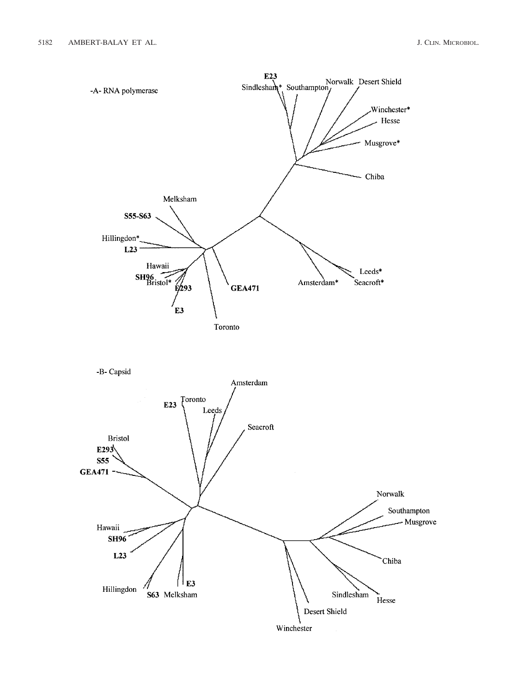

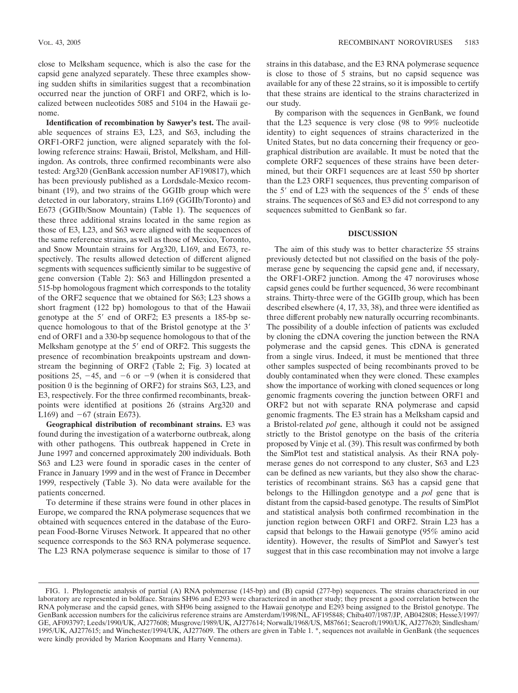close to Melksham sequence, which is also the case for the capsid gene analyzed separately. These three examples showing sudden shifts in similarities suggest that a recombination occurred near the junction of ORF1 and ORF2, which is localized between nucleotides 5085 and 5104 in the Hawaii genome.

**Identification of recombination by Sawyer's test.** The available sequences of strains E3, L23, and S63, including the ORF1-ORF2 junction, were aligned separately with the following reference strains: Hawaii, Bristol, Melksham, and Hillingdon. As controls, three confirmed recombinants were also tested: Arg320 (GenBank accession number AF190817), which has been previously published as a Lordsdale-Mexico recombinant (19), and two strains of the GGIIb group which were detected in our laboratory, strains L169 (GGIIb/Toronto) and E673 (GGIIb/Snow Mountain) (Table 1). The sequences of these three additional strains located in the same region as those of E3, L23, and S63 were aligned with the sequences of the same reference strains, as well as those of Mexico, Toronto, and Snow Mountain strains for Arg320, L169, and E673, respectively. The results allowed detection of different aligned segments with sequences sufficiently similar to be suggestive of gene conversion (Table 2): S63 and Hillingdon presented a 515-bp homologous fragment which corresponds to the totality of the ORF2 sequence that we obtained for S63; L23 shows a short fragment (122 bp) homologous to that of the Hawaii genotype at the 5' end of ORF2; E3 presents a 185-bp sequence homologous to that of the Bristol genotype at the 3' end of ORF1 and a 330-bp sequence homologous to that of the Melksham genotype at the 5' end of ORF2. This suggests the presence of recombination breakpoints upstream and downstream the beginning of ORF2 (Table 2; Fig. 3) located at positions 25,  $-45$ , and  $-6$  or  $-9$  (when it is considered that position 0 is the beginning of ORF2) for strains S63, L23, and E3, respectively. For the three confirmed recombinants, breakpoints were identified at positions 26 (strains Arg320 and L169) and  $-67$  (strain E673).

**Geographical distribution of recombinant strains.** E3 was found during the investigation of a waterborne outbreak, along with other pathogens. This outbreak happened in Crete in June 1997 and concerned approximately 200 individuals. Both S63 and L23 were found in sporadic cases in the center of France in January 1999 and in the west of France in December 1999, respectively (Table 3). No data were available for the patients concerned.

To determine if these strains were found in other places in Europe, we compared the RNA polymerase sequences that we obtained with sequences entered in the database of the European Food-Borne Viruses Network. It appeared that no other sequence corresponds to the S63 RNA polymerase sequence. The L23 RNA polymerase sequence is similar to those of 17 strains in this database, and the E3 RNA polymerase sequence is close to those of 5 strains, but no capsid sequence was available for any of these 22 strains, so it is impossible to certify that these strains are identical to the strains characterized in our study.

By comparison with the sequences in GenBank, we found that the L23 sequence is very close (98 to 99% nucleotide identity) to eight sequences of strains characterized in the United States, but no data concerning their frequency or geographical distribution are available. It must be noted that the complete ORF2 sequences of these strains have been determined, but their ORF1 sequences are at least 550 bp shorter than the L23 ORF1 sequences, thus preventing comparison of the 5' end of L23 with the sequences of the 5' ends of these strains. The sequences of S63 and E3 did not correspond to any sequences submitted to GenBank so far.

## **DISCUSSION**

The aim of this study was to better characterize 55 strains previously detected but not classified on the basis of the polymerase gene by sequencing the capsid gene and, if necessary, the ORF1-ORF2 junction. Among the 47 noroviruses whose capsid genes could be further sequenced, 36 were recombinant strains. Thirty-three were of the GGIIb group, which has been described elsewhere (4, 17, 33, 38), and three were identified as three different probably new naturally occurring recombinants. The possibility of a double infection of patients was excluded by cloning the cDNA covering the junction between the RNA polymerase and the capsid genes. This cDNA is generated from a single virus. Indeed, it must be mentioned that three other samples suspected of being recombinants proved to be doubly contaminated when they were cloned. These examples show the importance of working with cloned sequences or long genomic fragments covering the junction between ORF1 and ORF2 but not with separate RNA polymerase and capsid genomic fragments. The E3 strain has a Melksham capsid and a Bristol-related *pol* gene, although it could not be assigned strictly to the Bristol genotype on the basis of the criteria proposed by Vinje et al. (39). This result was confirmed by both the SimPlot test and statistical analysis. As their RNA polymerase genes do not correspond to any cluster, S63 and L23 can be defined as new variants, but they also show the characteristics of recombinant strains. S63 has a capsid gene that belongs to the Hillingdon genotype and a *pol* gene that is distant from the capsid-based genotype. The results of SimPlot and statistical analysis both confirmed recombination in the junction region between ORF1 and ORF2. Strain L23 has a capsid that belongs to the Hawaii genotype (95% amino acid identity). However, the results of SimPlot and Sawyer's test suggest that in this case recombination may not involve a large

FIG. 1. Phylogenetic analysis of partial (A) RNA polymerase (145-bp) and (B) capsid (277-bp) sequences. The strains characterized in our laboratory are represented in boldface. Strains SH96 and E293 were characterized in another study; they present a good correlation between the RNA polymerase and the capsid genes, with SH96 being assigned to the Hawaii genotype and E293 being assigned to the Bristol genotype. The GenBank accession numbers for the calicivirus reference strains are Amsterdam/1998/NL, AF195848; Chiba407/1987/JP, AB042808; Hesse3/1997/ GE, AF093797; Leeds/1990/UK, AJ277608; Musgrove/1989/UK, AJ277614; Norwalk/1968/US, M87661; Seacroft/1990/UK, AJ277620; Sindlesham/ 1995/UK, AJ277615; and Winchester/1994/UK, AJ277609. The others are given in Table 1. \*, sequences not available in GenBank (the sequences were kindly provided by Marion Koopmans and Harry Vennema).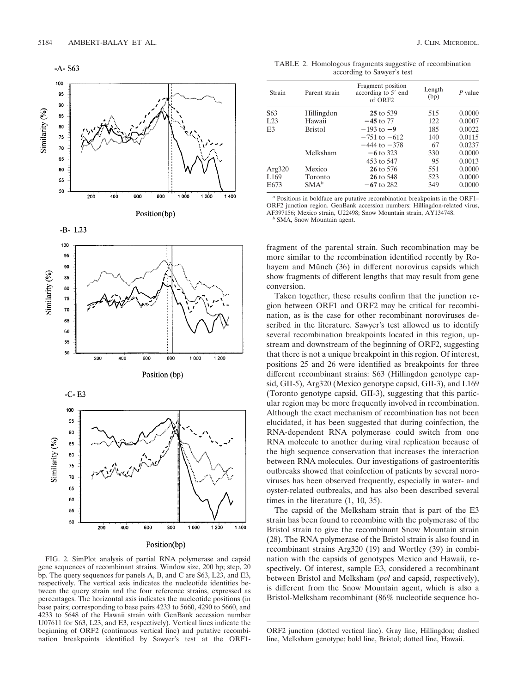

FIG. 2. SimPlot analysis of partial RNA polymerase and capsid gene sequences of recombinant strains. Window size, 200 bp; step, 20 bp. The query sequences for panels A, B, and C are S63, L23, and E3, respectively. The vertical axis indicates the nucleotide identities between the query strain and the four reference strains, expressed as percentages. The horizontal axis indicates the nucleotide positions (in base pairs; corresponding to base pairs 4233 to 5660, 4290 to 5660, and 4233 to 5648 of the Hawaii strain with GenBank accession number U07611 for S63, L23, and E3, respectively). Vertical lines indicate the beginning of ORF2 (continuous vertical line) and putative recombination breakpoints identified by Sawyer's test at the ORF1-

TABLE 2. Homologous fragments suggestive of recombination according to Sawyer's test

| Strain           | Parent strain    | Fragment position<br>according to 5' end<br>of ORF <sub>2</sub> | Length<br>(bp) | $P$ value |
|------------------|------------------|-----------------------------------------------------------------|----------------|-----------|
| S63              | Hillingdon       | 25 to 539                                                       | 515            | 0.0000    |
| L <sub>23</sub>  | Hawaii           | $-45$ to 77                                                     | 122            | 0.0007    |
| E <sub>3</sub>   | <b>Bristol</b>   | $-193$ to $-9$                                                  | 185            | 0.0022    |
|                  |                  | $-751$ to $-612$                                                | 140            | 0.0115    |
|                  |                  | $-444$ to $-378$                                                | 67             | 0.0237    |
|                  | Melksham         | $-6$ to 323                                                     | 330            | 0.0000    |
|                  |                  | 453 to 547                                                      | 95             | 0.0013    |
| Arg320           | Mexico           | 26 to 576                                                       | 551            | 0.0000    |
| L <sub>169</sub> | Toronto          | 26 to 548                                                       | 523            | 0.0000    |
| E <sub>673</sub> | SMA <sup>b</sup> | $-67$ to 282                                                    | 349            | 0.0000    |

*<sup>a</sup>* Positions in boldface are putative recombination breakpoints in the ORF1– ORF2 junction region. GenBank accession numbers: Hillingdon-related virus, AF397156; Mexico strain, U22498; Snow Mountain strain, AY134748. *<sup>b</sup>* SMA, Snow Mountain agent.

fragment of the parental strain. Such recombination may be more similar to the recombination identified recently by Rohayem and Münch (36) in different norovirus capsids which show fragments of different lengths that may result from gene conversion.

Taken together, these results confirm that the junction region between ORF1 and ORF2 may be critical for recombination, as is the case for other recombinant noroviruses described in the literature. Sawyer's test allowed us to identify several recombination breakpoints located in this region, upstream and downstream of the beginning of ORF2, suggesting that there is not a unique breakpoint in this region. Of interest, positions 25 and 26 were identified as breakpoints for three different recombinant strains: S63 (Hillingdon genotype capsid, GII-5), Arg320 (Mexico genotype capsid, GII-3), and L169 (Toronto genotype capsid, GII-3), suggesting that this particular region may be more frequently involved in recombination. Although the exact mechanism of recombination has not been elucidated, it has been suggested that during coinfection, the RNA-dependent RNA polymerase could switch from one RNA molecule to another during viral replication because of the high sequence conservation that increases the interaction between RNA molecules. Our investigations of gastroenteritis outbreaks showed that coinfection of patients by several noroviruses has been observed frequently, especially in water- and oyster-related outbreaks, and has also been described several times in the literature (1, 10, 35).

The capsid of the Melksham strain that is part of the E3 strain has been found to recombine with the polymerase of the Bristol strain to give the recombinant Snow Mountain strain (28). The RNA polymerase of the Bristol strain is also found in recombinant strains Arg320 (19) and Wortley (39) in combination with the capsids of genotypes Mexico and Hawaii, respectively. Of interest, sample E3, considered a recombinant between Bristol and Melksham (*pol* and capsid, respectively), is different from the Snow Mountain agent, which is also a Bristol-Melksham recombinant (86% nucleotide sequence ho-

ORF2 junction (dotted vertical line). Gray line, Hillingdon; dashed line, Melksham genotype; bold line, Bristol; dotted line, Hawaii.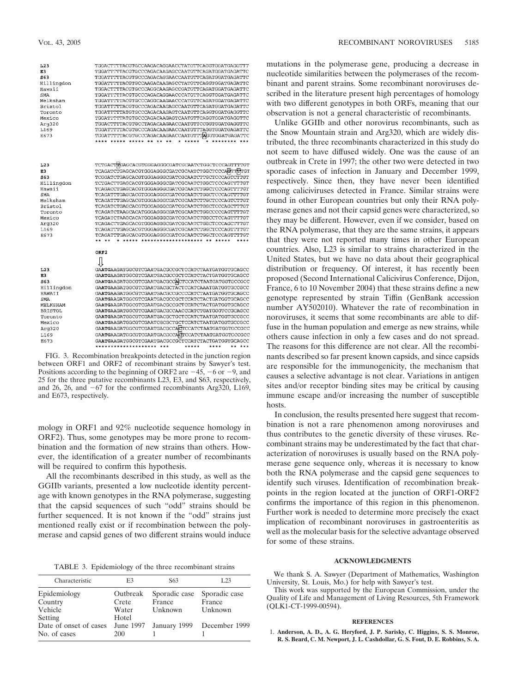| L23            | TGGACTTTACGTGCCAAGACAGGAACCTATGTTCAGGTGGATGAGGTTT     |
|----------------|-------------------------------------------------------|
| E3             |                                                       |
| S63            |                                                       |
| Hillingdon     | TGGATTTTTACGTGCCAAGACAAGAGCCTATGTTCAGGTGGATGAGATTC    |
| Hawaii         |                                                       |
| SMA            | TGGATTTTTACGTGCCCAGACAGGAACCCATGTTCAGGTGGATGAGATTC    |
| Melksham       |                                                       |
| <b>Bristol</b> |                                                       |
| Toronto        | TGGATTTTTATGTGCCCAGACAAGAGTCAATGTTCAGGTGGATGAGGTTC    |
| Mexico         | TGGATTTTTATGTGCCCAGACAAGAGTCAATGTTCAGGTGGATGAGGTTC    |
| Arg320         | TGGACTTTTACGTGCCTAGACAAGAACCAATGTTCCGGTGGATGAGGTTC    |
| L169           | TGGATTTTTACGTGCCCAGACAAGAACCAATGTTTAGGTGGATGAGATTC    |
| E673           | TGGATTTTTACGTGCCCAGACAAGAACCAATGTTTAGGTGGATGAGATTC    |
|                | **** ***** ***** ** **<br>$**$                        |
|                |                                                       |
| L23            | TCTGACTTGAGCACGTGGGAGGGCGATCGCAATCTGGCTCCCAGTTTTGT    |
| E3             | TCAGATCTGAGCACGTGGGAGGGCGATCGCAATCTGGCTCCCAGTTTTGT    |
| S63            | TCGGATCTGAGCACGTGGGAGGGCGATCGCAATCTTGCTCCCAGTCTTGT    |
| Hillingdon     | TCTGACTTGAGCACGTGGGAGGGCGATCGCAATCTGGCTCCCAGTTTTGT    |
| Hawaii         | TCAGACCTGAGCACGTGGGAGGGCGATCGCAATCTGGCTCCCAGTTTTGT    |
| SMA            | TCAGATTTGAGCACGTGGGAGGCCGATCGCAATCTGGCTCCCAGTTTTGT    |
| Melksham       | TCAGATTTGAGCACGTGGGAGGCCGATCGCAATCTTGCTCCCAGTCTTGT    |
| Bristol        | TCAGATCTGAGCACGTGGGAGGGCGATCGCAATCTGGCTCCCAGCTTTGT    |
| Toronto        | TCAGATCTAAGCACATGGGAGGGCGATCGCAATCTGGCCCCCAGTTTTGT    |
| Mexico         | TCAGATCTAAGCACATGGGAGGGCGATCGCAATCTGGCCTCCAGTTTTGT    |
| Arq320         | TCAGACTTGAGCACGTGGGAGGGCGATCGCAATCTGGCTCCCAGCTTTGT    |
| L169           | TCAGATTTGAGCACGTGGGAGGCGATCGCAATCTGGCTCCCAGTTTTGT     |
| E673           | TCAGATTTGAGCACGTGGGAGGCCGATCGCAATCTGGCTCCCAGTTTTGT    |
|                | ******************* ** *****<br>ORF <sub>2</sub>      |
|                |                                                       |
| L23            | GAATGAAGATGGCGTCGAATGACGCCGCTCCATCTAATGATGGTGCAGCC    |
| E3             | GAATGAAGATGGCGTCGAATGACGCCGCTCCATCTACTGATGGTGCAGCC    |
| S63            | GAATGAAGATGGCGTCGAATGACGCCACTCCATCTAATGATGGTGCCGCC    |
| Hillingdon     | GAATGAAGATGGCGTCGAATGACGCTACTCCATCAAATGATGGTGCCGCC    |
| <b>HAWAII</b>  | GAATGAAGATGGCGTCGAATGACGCCGCCCCATCTAATGATGGTGCAGCC    |
| <b>SMA</b>     | GAATGAAGATGGCGTCGAATGACGCCGCTCCATCTACTGATGGTGCAGCC    |
| MELKSHAM       | GAATGAAGATGGCGTCGAATGACGCCGCTCCATCTACTGATGGTGCAGCC    |
| <b>BRISTOL</b> | GAATGAAGATGGCGTCGAATGACGCCAACCCATCTGATGGGTCCGCAGCC    |
| Toronto        | GAATGAAGATGGCGTCGAATGACGCTGCTCCATCTAATGATGGTGCCGCC    |
| Mexico         | GAATGAAGATGGCGTCGAATCGCGCTGCTCCATCTAATGATGGTGCCGCC    |
| Arg320         | GAATGAAGATGGCGTCGAATGACGCCACTCCATCTAATGATGGTGCCGCC    |
| L169           | GAATGAAGATGGCGTCGAATGACGCCACTCCATCTAATGATGGTGCCGCC    |
| E673           | GAATGAAGATGGCGTCGAATGACGCCGCTCCATCTACTGATGGTGCAGCC    |
|                | ******************* ***<br>****<br>$+ + + +$<br>***** |

FIG. 3. Recombination breakpoints detected in the junction region between ORF1 and ORF2 of recombinant strains by Sawyer's test. Positions according to the beginning of ORF2 are  $-45$ ,  $-6$  or  $-9$ , and 25 for the three putative recombinants L23, E3, and S63, respectively, and 26, 26, and  $-67$  for the confirmed recombinants Arg320, L169, and E673, respectively.

mology in ORF1 and 92% nucleotide sequence homology in ORF2). Thus, some genotypes may be more prone to recombination and the formation of new strains than others. However, the identification of a greater number of recombinants will be required to confirm this hypothesis.

All the recombinants described in this study, as well as the GGIIb variants, presented a low nucleotide identity percentage with known genotypes in the RNA polymerase, suggesting that the capsid sequences of such "odd" strains should be further sequenced. It is not known if the "odd" strains just mentioned really exist or if recombination between the polymerase and capsid genes of two different strains would induce

TABLE 3. Epidemiology of the three recombinant strains

| Characteristic         | E3        | S63           | L <sub>23</sub> |
|------------------------|-----------|---------------|-----------------|
| Epidemiology           | Outbreak  | Sporadic case | Sporadic case   |
| Country                | Crete     | France        | France          |
| Vehicle                | Water     | Unknown       | Unknown         |
| Setting                | Hotel     |               |                 |
| Date of onset of cases | June 1997 | January 1999  | December 1999   |
| No. of cases           | 200       |               |                 |
|                        |           |               |                 |

mutations in the polymerase gene, producing a decrease in nucleotide similarities between the polymerases of the recombinant and parent strains. Some recombinant noroviruses described in the literature present high percentages of homology with two different genotypes in both ORFs, meaning that our observation is not a general characteristic of recombinants.

Unlike GGIIb and other norovirus recombinants, such as the Snow Mountain strain and Arg320, which are widely distributed, the three recombinants characterized in this study do not seem to have diffused widely. One was the cause of an outbreak in Crete in 1997; the other two were detected in two sporadic cases of infection in January and December 1999, respectively. Since then, they have never been identified among caliciviruses detected in France. Similar strains were found in other European countries but only their RNA polymerase genes and not their capsid genes were characterized, so they may be different. However, even if we consider, based on the RNA polymerase, that they are the same strains, it appears that they were not reported many times in other European countries. Also, L23 is similar to strains characterized in the United States, but we have no data about their geographical distribution or frequency. Of interest, it has recently been proposed (Second International Calicivirus Conference, Dijon, France, 6 to 10 November 2004) that these strains define a new genotype represented by strain Tiffin (GenBank accession number AY502010). Whatever the rate of recombination in noroviruses, it seems that some recombinants are able to diffuse in the human population and emerge as new strains, while others cause infection in only a few cases and do not spread. The reasons for this difference are not clear. All the recombinants described so far present known capsids, and since capsids are responsible for the immunogenicity, the mechanism that causes a selective advantage is not clear. Variations in antigen sites and/or receptor binding sites may be critical by causing immune escape and/or increasing the number of susceptible hosts.

In conclusion, the results presented here suggest that recombination is not a rare phenomenon among noroviruses and thus contributes to the genetic diversity of these viruses. Recombinant strains may be underestimated by the fact that characterization of noroviruses is usually based on the RNA polymerase gene sequence only, whereas it is necessary to know both the RNA polymerase and the capsid gene sequences to identify such viruses. Identification of recombination breakpoints in the region located at the junction of ORF1-ORF2 confirms the importance of this region in this phenomenon. Further work is needed to determine more precisely the exact implication of recombinant noroviruses in gastroenteritis as well as the molecular basis for the selective advantage observed for some of these strains.

### **ACKNOWLEDGMENTS**

We thank S. A. Sawyer (Department of Mathematics, Washington University, St. Louis, Mo.) for help with Sawyer's test.

This work was supported by the European Commission, under the Quality of Life and Management of Living Resources, 5th Framework (QLK1-CT-1999-00594).

#### **REFERENCES**

1. **Anderson, A. D., A. G. Heryford, J. P. Sarisky, C. Higgins, S. S. Monroe, R. S. Beard, C. M. Newport, J. L. Cashdollar, G. S. Fout, D. E. Robbins, S. A.**